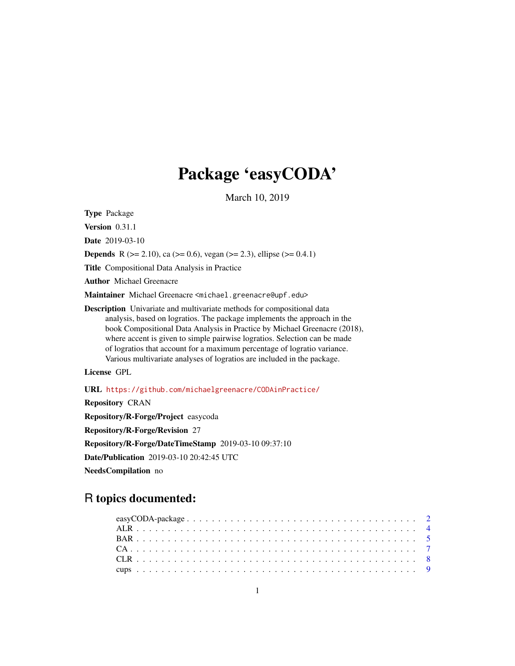# Package 'easyCODA'

March 10, 2019

<span id="page-0-0"></span>Type Package

**Version** 0.31.1

Date 2019-03-10

**Depends** R ( $>= 2.10$ ), ca ( $>= 0.6$ ), vegan ( $>= 2.3$ ), ellipse ( $>= 0.4.1$ )

Title Compositional Data Analysis in Practice

Author Michael Greenacre

Maintainer Michael Greenacre <michael.greenacre@upf.edu>

Description Univariate and multivariate methods for compositional data analysis, based on logratios. The package implements the approach in the book Compositional Data Analysis in Practice by Michael Greenacre (2018), where accent is given to simple pairwise logratios. Selection can be made of logratios that account for a maximum percentage of logratio variance. Various multivariate analyses of logratios are included in the package.

License GPL

URL <https://github.com/michaelgreenacre/CODAinPractice/>

Repository CRAN

Repository/R-Forge/Project easycoda Repository/R-Forge/Revision 27

Repository/R-Forge/DateTimeStamp 2019-03-10 09:37:10

Date/Publication 2019-03-10 20:42:45 UTC

NeedsCompilation no

# R topics documented: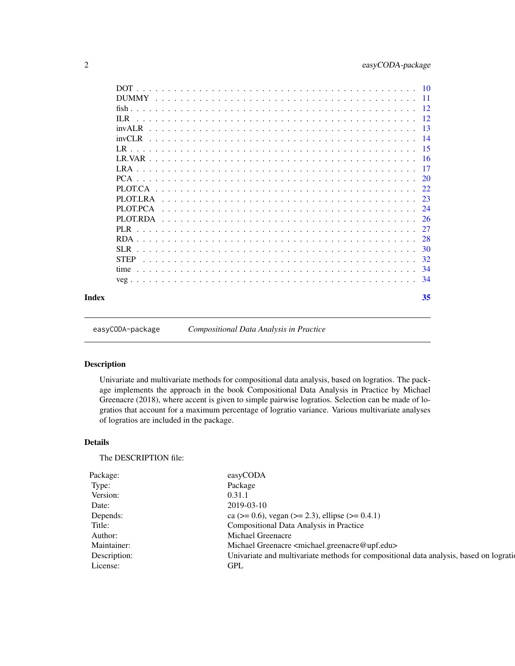<span id="page-1-0"></span>

| Index |              | 35  |
|-------|--------------|-----|
|       |              |     |
|       |              | -34 |
|       | <b>STEP</b>  | 32  |
|       | SLR.         | 30  |
|       |              | 28  |
|       | PL R         | 27  |
|       | PLOT RDA     | 26  |
|       | PLOT PCA     | 24  |
|       | PLOTLRA      | 23  |
|       | PLOT.CA      | 22. |
|       |              | 20  |
|       | LRA          | 17  |
|       |              |     |
|       | LR           | -15 |
|       | $invCI$ R    |     |
|       | invAI.R      | -13 |
|       | H.R          | 12  |
|       |              |     |
|       | <b>DUMMY</b> | -11 |
|       | <b>DOT</b>   | -10 |

easyCODA-package *Compositional Data Analysis in Practice*

# Description

Univariate and multivariate methods for compositional data analysis, based on logratios. The package implements the approach in the book Compositional Data Analysis in Practice by Michael Greenacre (2018), where accent is given to simple pairwise logratios. Selection can be made of logratios that account for a maximum percentage of logratio variance. Various multivariate analyses of logratios are included in the package.

# Details

The DESCRIPTION file:

| easyCODA                                                                                                                                  |
|-------------------------------------------------------------------------------------------------------------------------------------------|
| Package                                                                                                                                   |
|                                                                                                                                           |
| 2019-03-10                                                                                                                                |
| ca ( $> = 0.6$ ), vegan ( $>= 2.3$ ), ellipse ( $>= 0.4.1$ )                                                                              |
|                                                                                                                                           |
| Michael Greenacre                                                                                                                         |
| Michael Greenacre <michael.greenacre@upf.edu></michael.greenacre@upf.edu>                                                                 |
|                                                                                                                                           |
| GPL                                                                                                                                       |
| <b>Compositional Data Analysis in Practice</b><br>Univariate and multivariate methods for compositional data analysis, based on logration |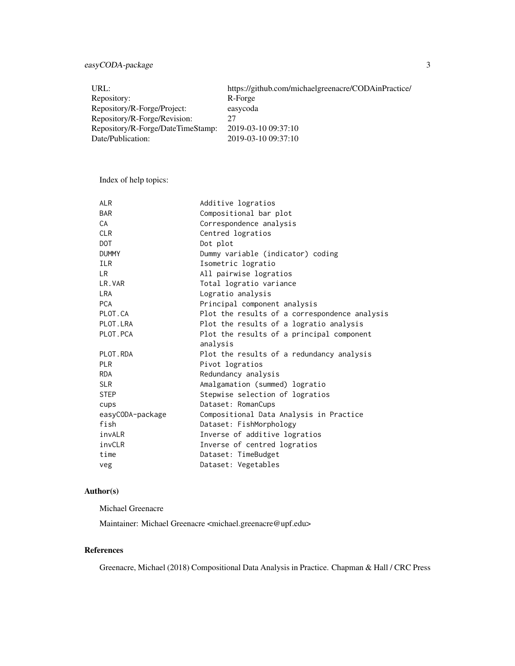# easyCODA-package 3

| URL:                              | https://github.com/michaelgreenacre/CODAinPractice/ |
|-----------------------------------|-----------------------------------------------------|
| Repository:                       | R-Forge                                             |
| Repository/R-Forge/Project:       | easycoda                                            |
| Repository/R-Forge/Revision:      | 27                                                  |
| Repository/R-Forge/DateTimeStamp: | 2019-03-10 09:37:10                                 |
| Date/Publication:                 | 2019-03-10 09:37:10                                 |

Index of help topics:

| <b>ALR</b>       | Additive logratios                                    |
|------------------|-------------------------------------------------------|
| <b>BAR</b>       | Compositional bar plot                                |
| CA               | Correspondence analysis                               |
| <b>CLR</b>       | Centred logratios                                     |
| <b>DOT</b>       | Dot plot                                              |
| <b>DUMMY</b>     | Dummy variable (indicator) coding                     |
| <b>ILR</b>       | Isometric logratio                                    |
| LR.              | All pairwise logratios                                |
| LR.VAR           | Total logratio variance                               |
| <b>LRA</b>       | Logratio analysis                                     |
| <b>PCA</b>       | Principal component analysis                          |
| PLOT.CA          | Plot the results of a correspondence analysis         |
| PLOT.LRA         | Plot the results of a logratio analysis               |
| PLOT. PCA        | Plot the results of a principal component<br>analysis |
| PLOT.RDA         | Plot the results of a redundancy analysis             |
| <b>PLR</b>       | Pivot logratios                                       |
| <b>RDA</b>       | Redundancy analysis                                   |
| <b>SLR</b>       | Amalgamation (summed) logratio                        |
| <b>STEP</b>      | Stepwise selection of logratios                       |
| cups             | Dataset: RomanCups                                    |
| easyCODA-package | Compositional Data Analysis in Practice               |
| fish             | Dataset: FishMorphology                               |
| invALR           | Inverse of additive logratios                         |
| invCLR           | Inverse of centred logratios                          |
| time             | Dataset: TimeBudget                                   |
| veg              | Dataset: Vegetables                                   |

# Author(s)

Michael Greenacre

Maintainer: Michael Greenacre <michael.greenacre@upf.edu>

# References

Greenacre, Michael (2018) Compositional Data Analysis in Practice. Chapman & Hall / CRC Press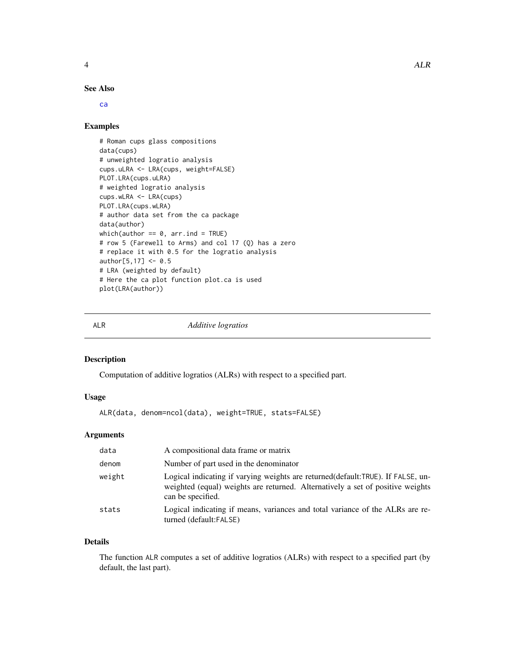<span id="page-3-0"></span>

# See Also

#### [ca](#page-0-0)

#### Examples

```
# Roman cups glass compositions
data(cups)
# unweighted logratio analysis
cups.uLRA <- LRA(cups, weight=FALSE)
PLOT.LRA(cups.uLRA)
# weighted logratio analysis
cups.wLRA <- LRA(cups)
PLOT.LRA(cups.wLRA)
# author data set from the ca package
data(author)
which(author == 0, arr.ind = TRUE)
# row 5 (Farewell to Arms) and col 17 (Q) has a zero
# replace it with 0.5 for the logratio analysis
author[5, 17] <- 0.5
# LRA (weighted by default)
# Here the ca plot function plot.ca is used
plot(LRA(author))
```
<span id="page-3-1"></span>ALR *Additive logratios*

#### Description

Computation of additive logratios (ALRs) with respect to a specified part.

# Usage

```
ALR(data, denom=ncol(data), weight=TRUE, stats=FALSE)
```
# Arguments

| data   | A compositional data frame or matrix                                                                                                                                                     |
|--------|------------------------------------------------------------------------------------------------------------------------------------------------------------------------------------------|
| denom  | Number of part used in the denominator                                                                                                                                                   |
| weight | Logical indicating if varying weights are returned (default: TRUE). If FALSE, un-<br>weighted (equal) weights are returned. Alternatively a set of positive weights<br>can be specified. |
| stats  | Logical indicating if means, variances and total variance of the ALRs are re-<br>turned (default:FALSE)                                                                                  |

# Details

The function ALR computes a set of additive logratios (ALRs) with respect to a specified part (by default, the last part).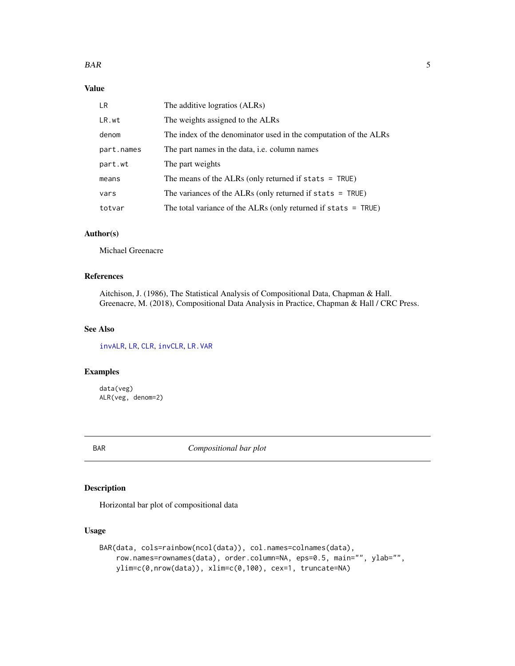<span id="page-4-0"></span>

| LR.        | The additive logratios (ALRs)                                    |
|------------|------------------------------------------------------------------|
| LR.wt      | The weights assigned to the ALRs                                 |
| denom      | The index of the denominator used in the computation of the ALRs |
| part.names | The part names in the data, <i>i.e.</i> column names             |
| part.wt    | The part weights                                                 |
| means      | The means of the ALRs (only returned if stats $=$ TRUE)          |
| vars       | The variances of the ALRs (only returned if stats $=$ TRUE)      |
| totvar     | The total variance of the ALRs (only returned if stats $=$ TRUE) |

# Author(s)

Michael Greenacre

# References

Aitchison, J. (1986), The Statistical Analysis of Compositional Data, Chapman & Hall. Greenacre, M. (2018), Compositional Data Analysis in Practice, Chapman & Hall / CRC Press.

# See Also

[invALR](#page-12-1), [LR](#page-14-1), [CLR](#page-7-1), [invCLR](#page-13-1), [LR.VAR](#page-15-1)

# Examples

data(veg) ALR(veg, denom=2)

<span id="page-4-1"></span>BAR *Compositional bar plot*

# Description

Horizontal bar plot of compositional data

#### Usage

```
BAR(data, cols=rainbow(ncol(data)), col.names=colnames(data),
    row.names=rownames(data), order.column=NA, eps=0.5, main="", ylab="",
    ylim=c(0,nrow(data)), xlim=c(0,100), cex=1, truncate=NA)
```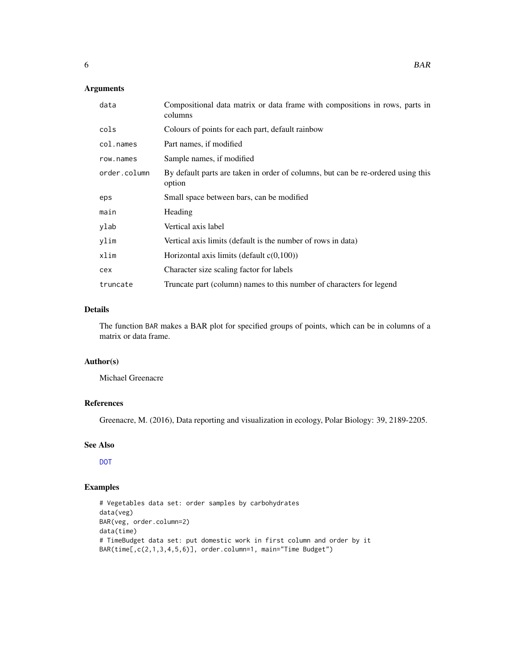# <span id="page-5-0"></span>Arguments

| data         | Compositional data matrix or data frame with compositions in rows, parts in<br>columns     |
|--------------|--------------------------------------------------------------------------------------------|
| cols         | Colours of points for each part, default rainbow                                           |
| col.names    | Part names, if modified                                                                    |
| row.names    | Sample names, if modified                                                                  |
| order.column | By default parts are taken in order of columns, but can be re-ordered using this<br>option |
| eps          | Small space between bars, can be modified                                                  |
| main         | Heading                                                                                    |
| ylab         | Vertical axis label                                                                        |
| ylim         | Vertical axis limits (default is the number of rows in data)                               |
| xlim         | Horizontal axis limits (default $c(0,100)$ )                                               |
| cex          | Character size scaling factor for labels                                                   |
| truncate     | Truncate part (column) names to this number of characters for legend                       |

# Details

The function BAR makes a BAR plot for specified groups of points, which can be in columns of a matrix or data frame.

# Author(s)

Michael Greenacre

# References

Greenacre, M. (2016), Data reporting and visualization in ecology, Polar Biology: 39, 2189-2205.

# See Also

[DOT](#page-9-1)

# Examples

```
# Vegetables data set: order samples by carbohydrates
data(veg)
BAR(veg, order.column=2)
data(time)
# TimeBudget data set: put domestic work in first column and order by it
BAR(time[,c(2,1,3,4,5,6)], order.column=1, main="Time Budget")
```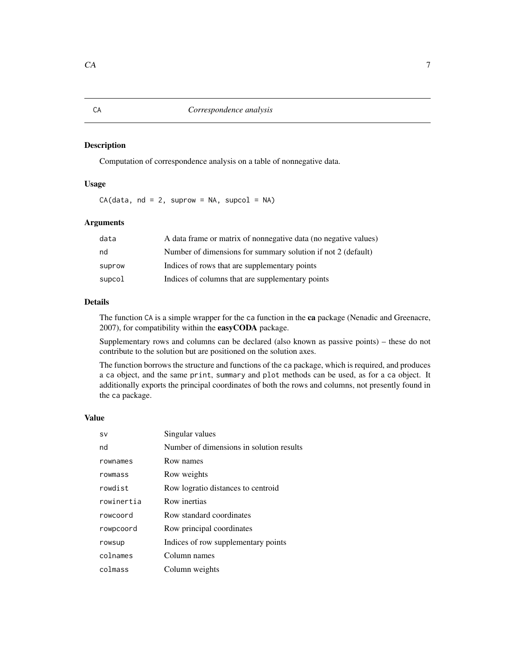<span id="page-6-1"></span><span id="page-6-0"></span>Computation of correspondence analysis on a table of nonnegative data.

#### Usage

 $CA(data, nd = 2, suprem = NA, supercol = NA)$ 

# Arguments

| data   | A data frame or matrix of nonnegative data (no negative values) |
|--------|-----------------------------------------------------------------|
| nd     | Number of dimensions for summary solution if not 2 (default)    |
| suprow | Indices of rows that are supplementary points                   |
| supcol | Indices of columns that are supplementary points                |

#### Details

The function CA is a simple wrapper for the ca function in the ca package (Nenadic and Greenacre, 2007), for compatibility within the easyCODA package.

Supplementary rows and columns can be declared (also known as passive points) – these do not contribute to the solution but are positioned on the solution axes.

The function borrows the structure and functions of the ca package, which is required, and produces a ca object, and the same print, summary and plot methods can be used, as for a ca object. It additionally exports the principal coordinates of both the rows and columns, not presently found in the ca package.

#### Value

| <b>SV</b>  | Singular values                          |
|------------|------------------------------------------|
| nd         | Number of dimensions in solution results |
| rownames   | Row names                                |
| rowmass    | Row weights                              |
| rowdist    | Row logratio distances to centroid       |
| rowinertia | Row inertias                             |
| rowcoord   | Row standard coordinates                 |
| rowpcoord  | Row principal coordinates                |
| rowsup     | Indices of row supplementary points      |
| colnames   | Column names                             |
| colmass    | Column weights                           |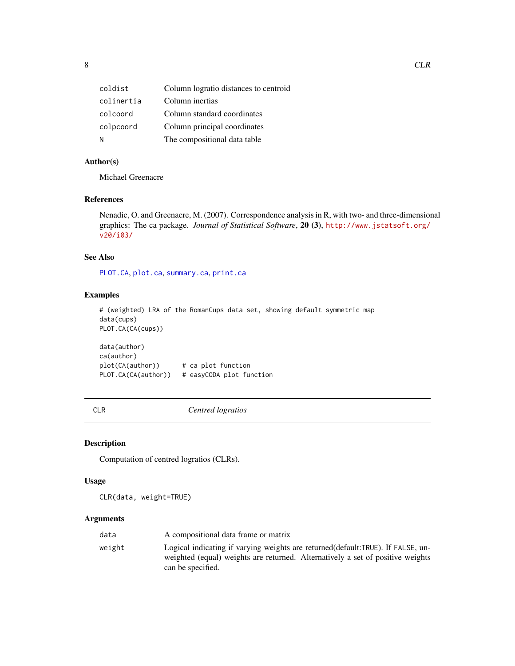<span id="page-7-0"></span>

| coldist    | Column logratio distances to centroid |
|------------|---------------------------------------|
| colinertia | Column inertias                       |
| colcoord   | Column standard coordinates           |
| colpcoord  | Column principal coordinates          |
| N          | The compositional data table          |

# Author(s)

Michael Greenacre

# References

Nenadic, O. and Greenacre, M. (2007). Correspondence analysis in R, with two- and three-dimensional graphics: The ca package. *Journal of Statistical Software*, 20 (3), [http://www.jstatsoft.org/](http://www.jstatsoft.org/v20/i03/) [v20/i03/](http://www.jstatsoft.org/v20/i03/)

# See Also

[PLOT.CA](#page-21-1), [plot.ca](#page-0-0), [summary.ca](#page-0-0), [print.ca](#page-0-0)

### Examples

```
# (weighted) LRA of the RomanCups data set, showing default symmetric map
data(cups)
PLOT.CA(CA(cups))
```
data(author) ca(author) plot(CA(author)) # ca plot function PLOT.CA(CA(author)) # easyCODA plot function

<span id="page-7-1"></span>CLR *Centred logratios*

# Description

Computation of centred logratios (CLRs).

#### Usage

CLR(data, weight=TRUE)

| data   | A compositional data frame or matrix                                                                                                                                                     |
|--------|------------------------------------------------------------------------------------------------------------------------------------------------------------------------------------------|
| weight | Logical indicating if varying weights are returned (default: TRUE). If FALSE, un-<br>weighted (equal) weights are returned. Alternatively a set of positive weights<br>can be specified. |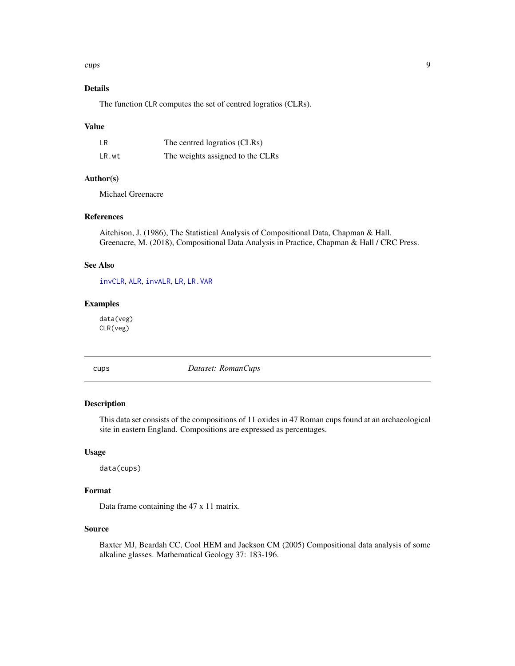#### <span id="page-8-0"></span>cups **9**

# Details

The function CLR computes the set of centred logratios (CLRs).

#### Value

| <b>LR</b> | The centred logratios (CLRs)     |
|-----------|----------------------------------|
| LR.wt     | The weights assigned to the CLRs |

# Author(s)

Michael Greenacre

# References

Aitchison, J. (1986), The Statistical Analysis of Compositional Data, Chapman & Hall. Greenacre, M. (2018), Compositional Data Analysis in Practice, Chapman & Hall / CRC Press.

# See Also

[invCLR](#page-13-1), [ALR](#page-3-1), [invALR](#page-12-1), [LR](#page-14-1), [LR.VAR](#page-15-1)

#### Examples

data(veg) CLR(veg)

cups *Dataset: RomanCups*

#### Description

This data set consists of the compositions of 11 oxides in 47 Roman cups found at an archaeological site in eastern England. Compositions are expressed as percentages.

#### Usage

data(cups)

#### Format

Data frame containing the 47 x 11 matrix.

# Source

Baxter MJ, Beardah CC, Cool HEM and Jackson CM (2005) Compositional data analysis of some alkaline glasses. Mathematical Geology 37: 183-196.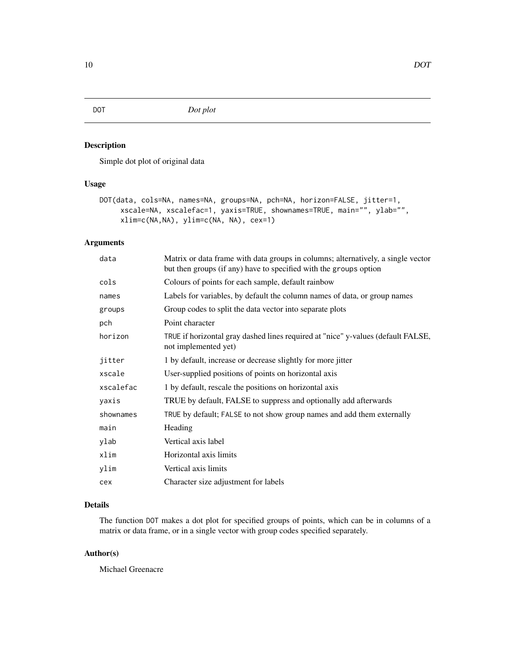<span id="page-9-1"></span><span id="page-9-0"></span>DOT *Dot plot*

# Description

Simple dot plot of original data

#### Usage

```
DOT(data, cols=NA, names=NA, groups=NA, pch=NA, horizon=FALSE, jitter=1,
     xscale=NA, xscalefac=1, yaxis=TRUE, shownames=TRUE, main="", ylab="",
     xlim=c(NA,NA), ylim=c(NA, NA), cex=1)
```
# Arguments

| data      | Matrix or data frame with data groups in columns; alternatively, a single vector<br>but then groups (if any) have to specified with the groups option |
|-----------|-------------------------------------------------------------------------------------------------------------------------------------------------------|
| cols      | Colours of points for each sample, default rainbow                                                                                                    |
| names     | Labels for variables, by default the column names of data, or group names                                                                             |
| groups    | Group codes to split the data vector into separate plots                                                                                              |
| pch       | Point character                                                                                                                                       |
| horizon   | TRUE if horizontal gray dashed lines required at "nice" y-values (default FALSE,<br>not implemented yet)                                              |
| jitter    | 1 by default, increase or decrease slightly for more jitter                                                                                           |
| xscale    | User-supplied positions of points on horizontal axis                                                                                                  |
| xscalefac | 1 by default, rescale the positions on horizontal axis                                                                                                |
| yaxis     | TRUE by default, FALSE to suppress and optionally add afterwards                                                                                      |
| shownames | TRUE by default; FALSE to not show group names and add them externally                                                                                |
| main      | Heading                                                                                                                                               |
| ylab      | Vertical axis label                                                                                                                                   |
| xlim      | Horizontal axis limits                                                                                                                                |
| ylim      | Vertical axis limits                                                                                                                                  |
| cex       | Character size adjustment for labels                                                                                                                  |

# Details

The function DOT makes a dot plot for specified groups of points, which can be in columns of a matrix or data frame, or in a single vector with group codes specified separately.

# Author(s)

Michael Greenacre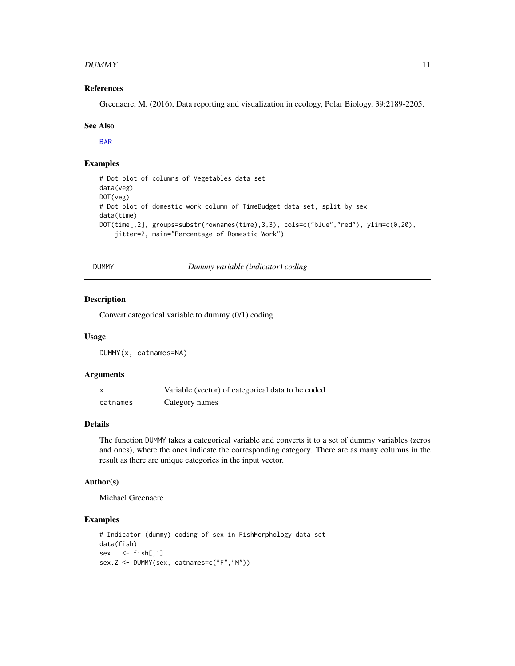#### <span id="page-10-0"></span> $DUMMY$  11

#### References

Greenacre, M. (2016), Data reporting and visualization in ecology, Polar Biology, 39:2189-2205.

#### See Also

[BAR](#page-4-1)

# Examples

```
# Dot plot of columns of Vegetables data set
data(veg)
DOT(veg)
# Dot plot of domestic work column of TimeBudget data set, split by sex
data(time)
DOT(time[,2], groups=substr(rownames(time),3,3), cols=c("blue","red"), ylim=c(0,20),
    jitter=2, main="Percentage of Domestic Work")
```
DUMMY *Dummy variable (indicator) coding*

#### Description

Convert categorical variable to dummy (0/1) coding

#### Usage

DUMMY(x, catnames=NA)

#### Arguments

| X        | Variable (vector) of categorical data to be coded |
|----------|---------------------------------------------------|
| catnames | Category names                                    |

#### Details

The function DUMMY takes a categorical variable and converts it to a set of dummy variables (zeros and ones), where the ones indicate the corresponding category. There are as many columns in the result as there are unique categories in the input vector.

#### Author(s)

Michael Greenacre

#### Examples

```
# Indicator (dummy) coding of sex in FishMorphology data set
data(fish)
sex <- fish[,1]
sex.Z <- DUMMY(sex, catnames=c("F","M"))
```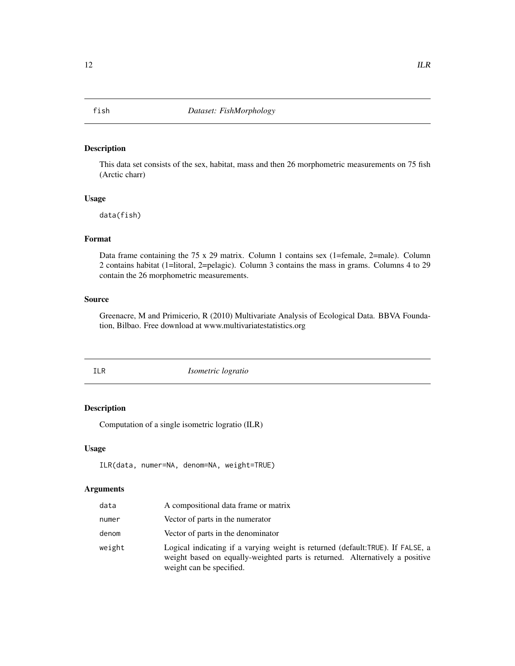<span id="page-11-0"></span>

This data set consists of the sex, habitat, mass and then 26 morphometric measurements on 75 fish (Arctic charr)

# Usage

data(fish)

# Format

Data frame containing the 75 x 29 matrix. Column 1 contains sex (1=female, 2=male). Column 2 contains habitat (1=litoral, 2=pelagic). Column 3 contains the mass in grams. Columns 4 to 29 contain the 26 morphometric measurements.

#### Source

Greenacre, M and Primicerio, R (2010) Multivariate Analysis of Ecological Data. BBVA Foundation, Bilbao. Free download at www.multivariatestatistics.org

<span id="page-11-1"></span>

ILR *Isometric logratio*

# Description

Computation of a single isometric logratio (ILR)

# Usage

```
ILR(data, numer=NA, denom=NA, weight=TRUE)
```

| data   | A compositional data frame or matrix                                                                                                                                                       |
|--------|--------------------------------------------------------------------------------------------------------------------------------------------------------------------------------------------|
| numer  | Vector of parts in the numerator                                                                                                                                                           |
| denom  | Vector of parts in the denominator                                                                                                                                                         |
| weight | Logical indicating if a varying weight is returned (default:TRUE). If FALSE, a<br>weight based on equally-weighted parts is returned. Alternatively a positive<br>weight can be specified. |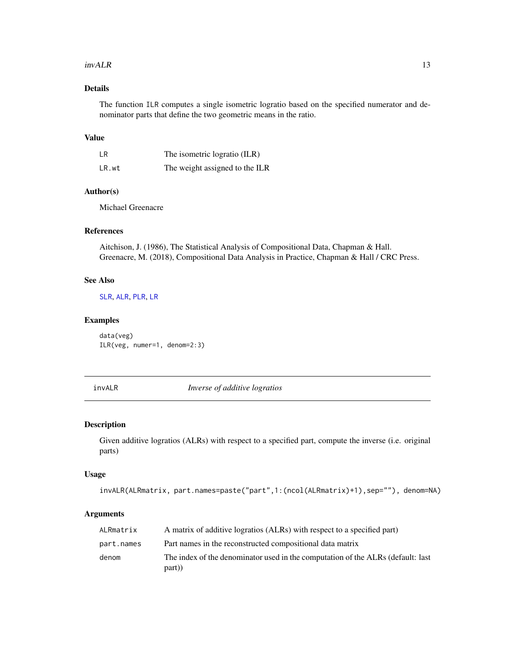#### <span id="page-12-0"></span> $invALR$  13

# Details

The function ILR computes a single isometric logratio based on the specified numerator and denominator parts that define the two geometric means in the ratio.

### Value

| LR    | The isometric logratio (ILR)   |
|-------|--------------------------------|
| LR.wt | The weight assigned to the ILR |

# Author(s)

Michael Greenacre

# References

Aitchison, J. (1986), The Statistical Analysis of Compositional Data, Chapman & Hall. Greenacre, M. (2018), Compositional Data Analysis in Practice, Chapman & Hall / CRC Press.

#### See Also

[SLR](#page-29-1), [ALR](#page-3-1), [PLR](#page-26-1), [LR](#page-14-1)

# Examples

data(veg) ILR(veg, numer=1, denom=2:3)

<span id="page-12-1"></span>invALR *Inverse of additive logratios*

# Description

Given additive logratios (ALRs) with respect to a specified part, compute the inverse (i.e. original parts)

#### Usage

```
invALR(ALRmatrix, part.names=paste("part",1:(ncol(ALRmatrix)+1),sep=""), denom=NA)
```

| ALRmatrix  | A matrix of additive logratios (ALRs) with respect to a specified part)                  |
|------------|------------------------------------------------------------------------------------------|
| part.names | Part names in the reconstructed compositional data matrix                                |
| denom      | The index of the denominator used in the computation of the ALRs (default: last<br>part) |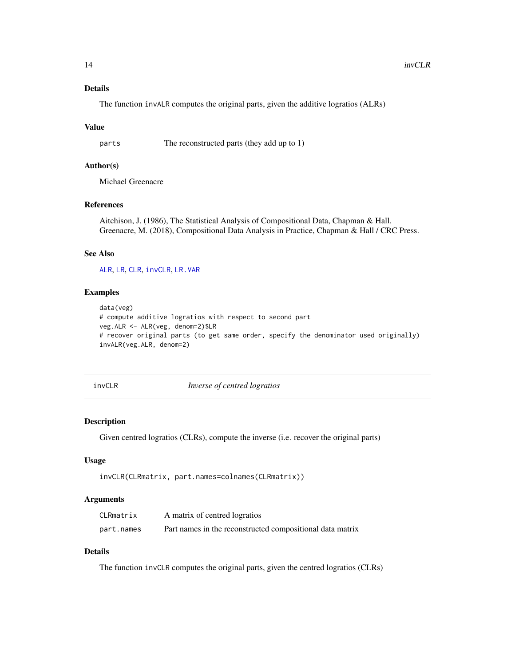# Details

The function invALR computes the original parts, given the additive logratios (ALRs)

#### Value

parts The reconstructed parts (they add up to 1)

# Author(s)

Michael Greenacre

# References

Aitchison, J. (1986), The Statistical Analysis of Compositional Data, Chapman & Hall. Greenacre, M. (2018), Compositional Data Analysis in Practice, Chapman & Hall / CRC Press.

#### See Also

[ALR](#page-3-1), [LR](#page-14-1), [CLR](#page-7-1), [invCLR](#page-13-1), [LR.VAR](#page-15-1)

#### Examples

```
data(veg)
# compute additive logratios with respect to second part
veg.ALR <- ALR(veg, denom=2)$LR
# recover original parts (to get same order, specify the denominator used originally)
invALR(veg.ALR, denom=2)
```
<span id="page-13-1"></span>

invCLR *Inverse of centred logratios*

#### Description

Given centred logratios (CLRs), compute the inverse (i.e. recover the original parts)

#### Usage

```
invCLR(CLRmatrix, part.names=colnames(CLRmatrix))
```
#### Arguments

| CLRmatrix  | A matrix of centred logratios                             |
|------------|-----------------------------------------------------------|
| part.names | Part names in the reconstructed compositional data matrix |

# Details

The function invCLR computes the original parts, given the centred logratios (CLRs)

<span id="page-13-0"></span>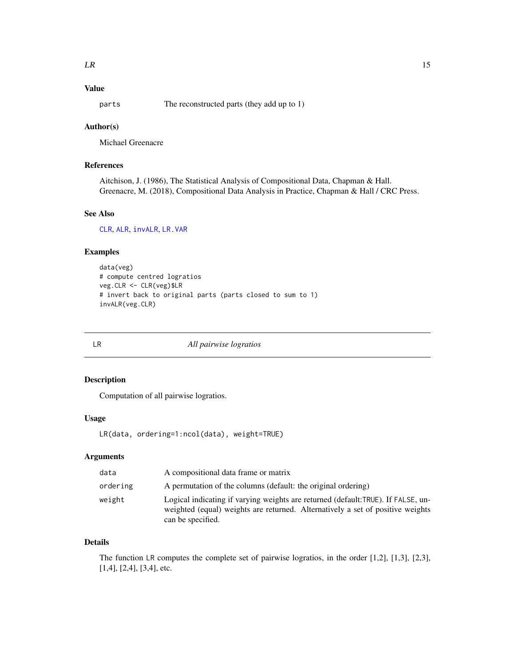<span id="page-14-0"></span>parts The reconstructed parts (they add up to 1)

# Author(s)

Michael Greenacre

# References

Aitchison, J. (1986), The Statistical Analysis of Compositional Data, Chapman & Hall. Greenacre, M. (2018), Compositional Data Analysis in Practice, Chapman & Hall / CRC Press.

# See Also

[CLR](#page-7-1), [ALR](#page-3-1), [invALR](#page-12-1), [LR.VAR](#page-15-1)

# Examples

```
data(veg)
# compute centred logratios
veg.CLR <- CLR(veg)$LR
# invert back to original parts (parts closed to sum to 1)
invALR(veg.CLR)
```
<span id="page-14-1"></span>

LR *All pairwise logratios*

# Description

Computation of all pairwise logratios.

# Usage

```
LR(data, ordering=1:ncol(data), weight=TRUE)
```
#### Arguments

| data     | A compositional data frame or matrix                                                                                                                                                    |
|----------|-----------------------------------------------------------------------------------------------------------------------------------------------------------------------------------------|
| ordering | A permutation of the columns (default: the original ordering)                                                                                                                           |
| weight   | Logical indicating if varying weights are returned (default:TRUE). If FALSE, un-<br>weighted (equal) weights are returned. Alternatively a set of positive weights<br>can be specified. |

# Details

The function LR computes the complete set of pairwise logratios, in the order [1,2], [1,3], [2,3], [1,4], [2,4], [3,4], etc.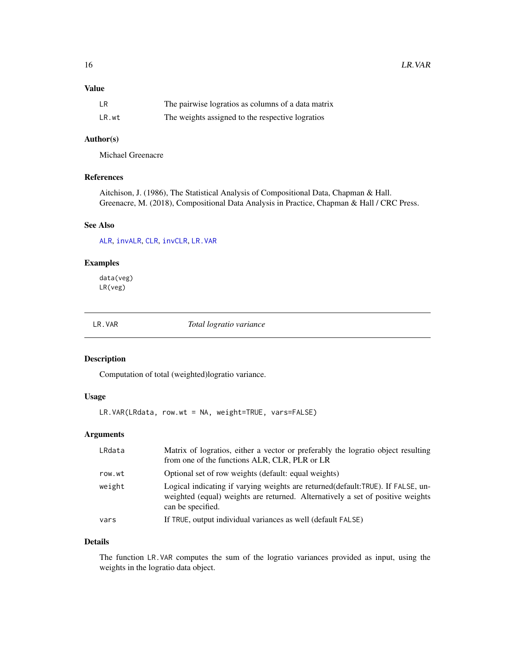<span id="page-15-0"></span>

| <b>LR</b> | The pairwise logratios as columns of a data matrix |
|-----------|----------------------------------------------------|
| LR.wt     | The weights assigned to the respective logratios   |

# Author(s)

Michael Greenacre

#### References

Aitchison, J. (1986), The Statistical Analysis of Compositional Data, Chapman & Hall. Greenacre, M. (2018), Compositional Data Analysis in Practice, Chapman & Hall / CRC Press.

# See Also

[ALR](#page-3-1), [invALR](#page-12-1), [CLR](#page-7-1), [invCLR](#page-13-1), [LR.VAR](#page-15-1)

# Examples

data(veg) LR(veg)

<span id="page-15-1"></span>LR.VAR *Total logratio variance*

# Description

Computation of total (weighted)logratio variance.

# Usage

LR.VAR(LRdata, row.wt = NA, weight=TRUE, vars=FALSE)

# Arguments

| LRdata | Matrix of logratios, either a vector or preferably the logratio object resulting<br>from one of the functions ALR, CLR, PLR or LR                                                        |
|--------|------------------------------------------------------------------------------------------------------------------------------------------------------------------------------------------|
| row.wt | Optional set of row weights (default: equal weights)                                                                                                                                     |
| weight | Logical indicating if varying weights are returned (default: TRUE). If FALSE, un-<br>weighted (equal) weights are returned. Alternatively a set of positive weights<br>can be specified. |
| vars   | If TRUE, output individual variances as well (default FALSE)                                                                                                                             |

# Details

The function LR.VAR computes the sum of the logratio variances provided as input, using the weights in the logratio data object.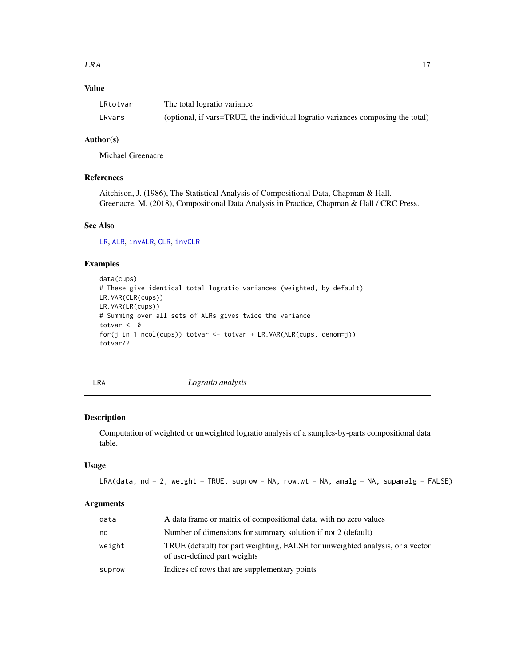<span id="page-16-0"></span>

| LRtotvar | The total logratio variance                                                     |
|----------|---------------------------------------------------------------------------------|
| LRvars   | (optional, if vars=TRUE, the individual logratio variances composing the total) |

# Author(s)

Michael Greenacre

#### References

Aitchison, J. (1986), The Statistical Analysis of Compositional Data, Chapman & Hall. Greenacre, M. (2018), Compositional Data Analysis in Practice, Chapman & Hall / CRC Press.

#### See Also

[LR](#page-14-1), [ALR](#page-3-1), [invALR](#page-12-1), [CLR](#page-7-1), [invCLR](#page-13-1)

# Examples

```
data(cups)
# These give identical total logratio variances (weighted, by default)
LR.VAR(CLR(cups))
LR.VAR(LR(cups))
# Summing over all sets of ALRs gives twice the variance
totvar <- 0
for(j in 1:ncol(cups)) totvar <- totvar + LR.VAR(ALR(cups, denom=j))
totvar/2
```
LRA *Logratio analysis*

#### Description

Computation of weighted or unweighted logratio analysis of a samples-by-parts compositional data table.

#### Usage

LRA(data, nd = 2, weight = TRUE, suprow = NA, row.wt = NA, amalg = NA, supamalg = FALSE)

| data   | A data frame or matrix of compositional data, with no zero values                                             |
|--------|---------------------------------------------------------------------------------------------------------------|
| nd     | Number of dimensions for summary solution if not 2 (default)                                                  |
| weight | TRUE (default) for part weighting, FALSE for unweighted analysis, or a vector<br>of user-defined part weights |
| suprow | Indices of rows that are supplementary points                                                                 |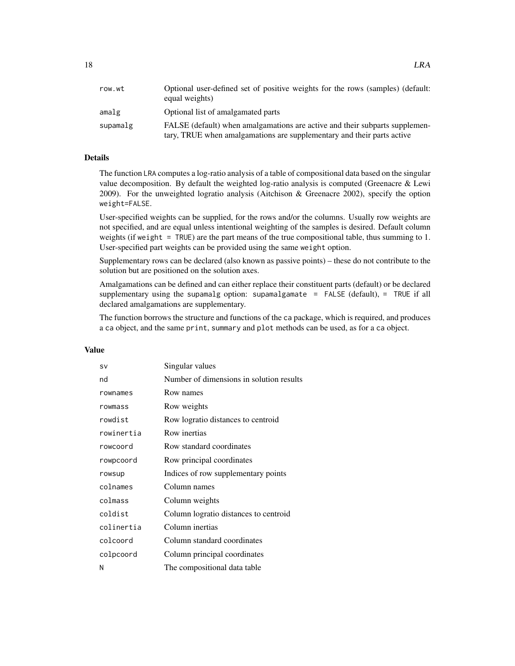| row.wt   | Optional user-defined set of positive weights for the rows (samples) (default:<br>equal weights)                                                      |
|----------|-------------------------------------------------------------------------------------------------------------------------------------------------------|
| amalg    | Optional list of amalgamated parts                                                                                                                    |
| supamalg | FALSE (default) when amalgamations are active and their subparts supplemen-<br>tary, TRUE when amalgamations are supplementary and their parts active |

# Details

The function LRA computes a log-ratio analysis of a table of compositional data based on the singular value decomposition. By default the weighted log-ratio analysis is computed (Greenacre & Lewi 2009). For the unweighted logratio analysis (Aitchison & Greenacre 2002), specify the option weight=FALSE.

User-specified weights can be supplied, for the rows and/or the columns. Usually row weights are not specified, and are equal unless intentional weighting of the samples is desired. Default column weights (if weight = TRUE) are the part means of the true compositional table, thus summing to 1. User-specified part weights can be provided using the same weight option.

Supplementary rows can be declared (also known as passive points) – these do not contribute to the solution but are positioned on the solution axes.

Amalgamations can be defined and can either replace their constituent parts (default) or be declared supplementary using the supamalg option: supamalgamate = FALSE (default), = TRUE if all declared amalgamations are supplementary.

The function borrows the structure and functions of the ca package, which is required, and produces a ca object, and the same print, summary and plot methods can be used, as for a ca object.

#### Value

| SV         | Singular values                          |
|------------|------------------------------------------|
| nd         | Number of dimensions in solution results |
| rownames   | Row names                                |
| rowmass    | Row weights                              |
| rowdist    | Row logratio distances to centroid       |
| rowinertia | Row inertias                             |
| rowcoord   | Row standard coordinates                 |
| rowpcoord  | Row principal coordinates                |
| rowsup     | Indices of row supplementary points      |
| colnames   | Column names                             |
| colmass    | Column weights                           |
| coldist    | Column logratio distances to centroid    |
| colinertia | Column inertias                          |
| colcoord   | Column standard coordinates              |
| colpcoord  | Column principal coordinates             |
| Ν          | The compositional data table             |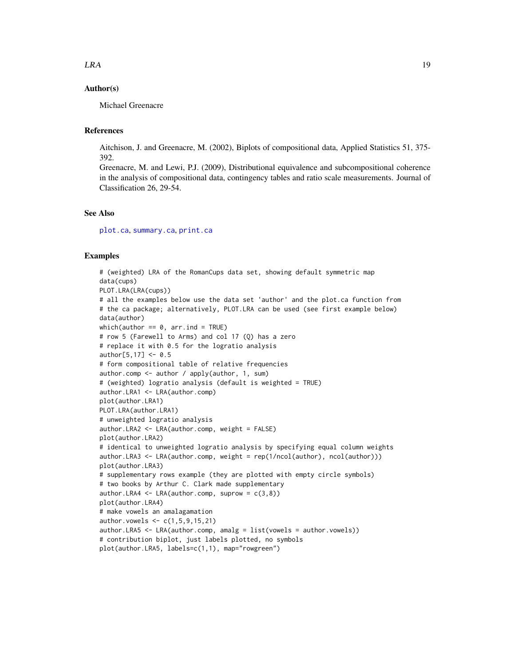# <span id="page-18-0"></span>Author(s)

Michael Greenacre

#### References

Aitchison, J. and Greenacre, M. (2002), Biplots of compositional data, Applied Statistics 51, 375- 392.

Greenacre, M. and Lewi, P.J. (2009), Distributional equivalence and subcompositional coherence in the analysis of compositional data, contingency tables and ratio scale measurements. Journal of Classification 26, 29-54.

#### See Also

[plot.ca](#page-0-0), [summary.ca](#page-0-0), [print.ca](#page-0-0)

#### Examples

```
# (weighted) LRA of the RomanCups data set, showing default symmetric map
data(cups)
PLOT.LRA(LRA(cups))
# all the examples below use the data set 'author' and the plot.ca function from
# the ca package; alternatively, PLOT.LRA can be used (see first example below)
data(author)
which(author == 0, arr.ind = TRUE)
# row 5 (Farewell to Arms) and col 17 (Q) has a zero
# replace it with 0.5 for the logratio analysis
author[5, 17] < -0.5# form compositional table of relative frequencies
author.comp <- author / apply(author, 1, sum)
# (weighted) logratio analysis (default is weighted = TRUE)
author.LRA1 <- LRA(author.comp)
plot(author.LRA1)
PLOT.LRA(author.LRA1)
# unweighted logratio analysis
author.LRA2 <- LRA(author.comp, weight = FALSE)
plot(author.LRA2)
# identical to unweighted logratio analysis by specifying equal column weights
author.LRA3 <- LRA(author.comp, weight = rep(1/ncol(author), ncol(author)))
plot(author.LRA3)
# supplementary rows example (they are plotted with empty circle symbols)
# two books by Arthur C. Clark made supplementary
author.LRA4 \leq LRA(author.comp, suprow = c(3,8))
plot(author.LRA4)
# make vowels an amalagamation
author.vowels <- c(1,5,9,15,21)
author.LRA5 < -LRA(author.comp, amalg = list(vowels = author.vowels))# contribution biplot, just labels plotted, no symbols
plot(author.LRA5, labels=c(1,1), map="rowgreen")
```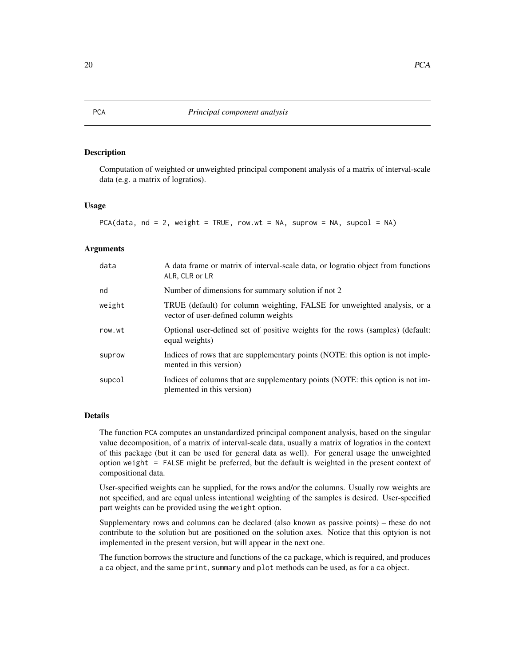Computation of weighted or unweighted principal component analysis of a matrix of interval-scale data (e.g. a matrix of logratios).

#### Usage

```
PCA(data, nd = 2, weight = TRUE, row.wt = NA, suprow = NA, supcol = NA)
```
### Arguments

| data   | A data frame or matrix of interval-scale data, or logratio object from functions<br>ALR, CLR or LR                |
|--------|-------------------------------------------------------------------------------------------------------------------|
| nd     | Number of dimensions for summary solution if not 2                                                                |
| weight | TRUE (default) for column weighting, FALSE for unweighted analysis, or a<br>vector of user-defined column weights |
| row.wt | Optional user-defined set of positive weights for the rows (samples) (default:<br>equal weights)                  |
| suprow | Indices of rows that are supplementary points (NOTE: this option is not imple-<br>mented in this version)         |
| supcol | Indices of columns that are supplementary points (NOTE: this option is not im-<br>plemented in this version)      |

# Details

The function PCA computes an unstandardized principal component analysis, based on the singular value decomposition, of a matrix of interval-scale data, usually a matrix of logratios in the context of this package (but it can be used for general data as well). For general usage the unweighted option weight = FALSE might be preferred, but the default is weighted in the present context of compositional data.

User-specified weights can be supplied, for the rows and/or the columns. Usually row weights are not specified, and are equal unless intentional weighting of the samples is desired. User-specified part weights can be provided using the weight option.

Supplementary rows and columns can be declared (also known as passive points) – these do not contribute to the solution but are positioned on the solution axes. Notice that this optyion is not implemented in the present version, but will appear in the next one.

The function borrows the structure and functions of the ca package, which is required, and produces a ca object, and the same print, summary and plot methods can be used, as for a ca object.

<span id="page-19-0"></span>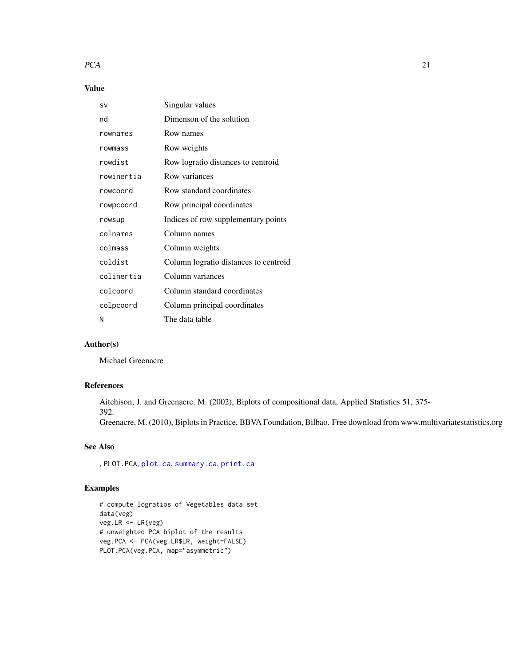#### <span id="page-20-0"></span> $PCA$  21

# Value

| SV         | Singular values                       |
|------------|---------------------------------------|
| nd         | Dimenson of the solution              |
| rownames   | Row names                             |
| rowmass    | Row weights                           |
| rowdist    | Row logratio distances to centroid    |
| rowinertia | Row variances                         |
| rowcoord   | Row standard coordinates              |
| rowpcoord  | Row principal coordinates             |
| rowsup     | Indices of row supplementary points   |
| colnames   | Column names                          |
| colmass    | Column weights                        |
| coldist    | Column logratio distances to centroid |
| colinertia | Column variances                      |
| colcoord   | Column standard coordinates           |
| colpcoord  | Column principal coordinates          |
| Ν          | The data table                        |

# Author(s)

Michael Greenacre

# References

Aitchison, J. and Greenacre, M. (2002), Biplots of compositional data, Applied Statistics 51, 375- 392.

Greenacre, M. (2010), Biplots in Practice, BBVA Foundation, Bilbao. Free download from www.multivariatestatistics.org

# See Also

, PLOT.PCA, [plot.ca](#page-0-0), [summary.ca](#page-0-0), [print.ca](#page-0-0)

# Examples

# compute logratios of Vegetables data set data(veg) veg.LR <- LR(veg) # unweighted PCA biplot of the results veg.PCA <- PCA(veg.LR\$LR, weight=FALSE) PLOT.PCA(veg.PCA, map="asymmetric")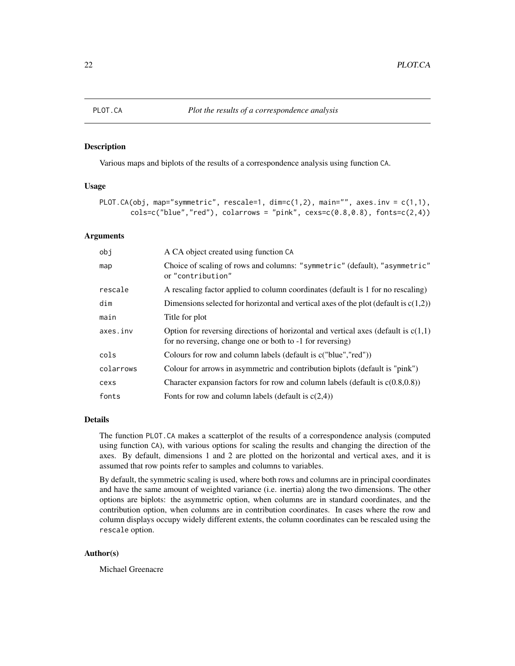<span id="page-21-1"></span><span id="page-21-0"></span>

Various maps and biplots of the results of a correspondence analysis using function CA.

#### Usage

```
PLOT.CA(obj, map="symmetric", rescale=1, dim=c(1,2), main="", axes.inv = c(1,1),
          \text{cols=c("blue", "red"), \text{ \textit{calarrows} = "pink", \text{ \textit{cexs=c(0.8,0.8)}, \text{ \textit{fonts=c(2,4)})}}
```
# Arguments

| obi       | A CA object created using function CA                                                                                                               |
|-----------|-----------------------------------------------------------------------------------------------------------------------------------------------------|
| map       | Choice of scaling of rows and columns: "symmetric" (default), "asymmetric"<br>or "contribution"                                                     |
| rescale   | A rescaling factor applied to column coordinates (default is 1 for no rescaling)                                                                    |
| dim       | Dimensions selected for horizontal and vertical axes of the plot (default is $c(1,2)$ )                                                             |
| main      | Title for plot                                                                                                                                      |
| axes.inv  | Option for reversing directions of horizontal and vertical axes (default is $c(1,1)$ )<br>for no reversing, change one or both to -1 for reversing) |
| cols      | Colours for row and column labels (default is c("blue", "red"))                                                                                     |
| colarrows | Colour for arrows in asymmetric and contribution biplots (default is "pink")                                                                        |
| cexs      | Character expansion factors for row and column labels (default is $c(0.8,0.8)$ )                                                                    |
| fonts     | Fonts for row and column labels (default is $c(2,4)$ )                                                                                              |

#### Details

The function PLOT.CA makes a scatterplot of the results of a correspondence analysis (computed using function CA), with various options for scaling the results and changing the direction of the axes. By default, dimensions 1 and 2 are plotted on the horizontal and vertical axes, and it is assumed that row points refer to samples and columns to variables.

By default, the symmetric scaling is used, where both rows and columns are in principal coordinates and have the same amount of weighted variance (i.e. inertia) along the two dimensions. The other options are biplots: the asymmetric option, when columns are in standard coordinates, and the contribution option, when columns are in contribution coordinates. In cases where the row and column displays occupy widely different extents, the column coordinates can be rescaled using the rescale option.

#### Author(s)

Michael Greenacre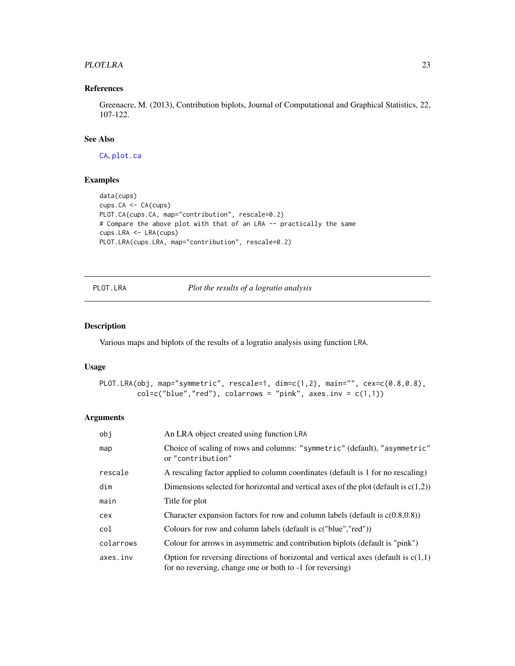#### <span id="page-22-0"></span>PLOT.LRA 23

# References

Greenacre, M. (2013), Contribution biplots, Journal of Computational and Graphical Statistics, 22, 107-122.

# See Also

[CA](#page-6-1), [plot.ca](#page-0-0)

# Examples

```
data(cups)
cups.CA <- CA(cups)
PLOT.CA(cups.CA, map="contribution", rescale=0.2)
# Compare the above plot with that of an LRA -- practically the same
cups.LRA <- LRA(cups)
PLOT.LRA(cups.LRA, map="contribution", rescale=0.2)
```
PLOT.LRA *Plot the results of a logratio analysis*

### Description

Various maps and biplots of the results of a logratio analysis using function LRA.

### Usage

```
PLOT.LRA(obj, map="symmetric", rescale=1, dim=c(1,2), main="", cex=c(0.8,0.8),
         col=c("blue", "red"), colarrows = "pink", axes.inv = c(1,1))
```

| obi       | An LRA object created using function LRA                                                                                                            |
|-----------|-----------------------------------------------------------------------------------------------------------------------------------------------------|
| map       | Choice of scaling of rows and columns: "symmetric" (default), "asymmetric"<br>or "contribution"                                                     |
| rescale   | A rescaling factor applied to column coordinates (default is 1 for no rescaling)                                                                    |
| dim       | Dimensions selected for horizontal and vertical axes of the plot (default is $c(1,2)$ )                                                             |
| main      | Title for plot                                                                                                                                      |
| cex       | Character expansion factors for row and column labels (default is $c(0.8,0.8)$ )                                                                    |
| col       | Colours for row and column labels (default is c("blue", "red"))                                                                                     |
| colarrows | Colour for arrows in asymmetric and contribution biplots (default is "pink")                                                                        |
| axes.inv  | Option for reversing directions of horizontal and vertical axes (default is $c(1,1)$ )<br>for no reversing, change one or both to -1 for reversing) |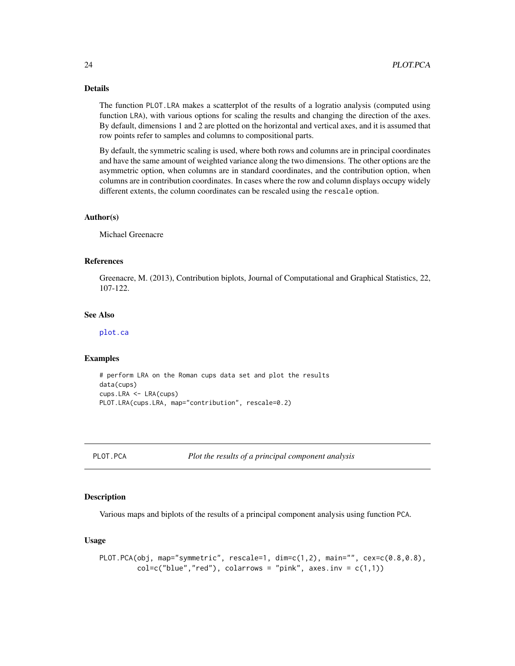# Details

The function PLOT.LRA makes a scatterplot of the results of a logratio analysis (computed using function LRA), with various options for scaling the results and changing the direction of the axes. By default, dimensions 1 and 2 are plotted on the horizontal and vertical axes, and it is assumed that row points refer to samples and columns to compositional parts.

By default, the symmetric scaling is used, where both rows and columns are in principal coordinates and have the same amount of weighted variance along the two dimensions. The other options are the asymmetric option, when columns are in standard coordinates, and the contribution option, when columns are in contribution coordinates. In cases where the row and column displays occupy widely different extents, the column coordinates can be rescaled using the rescale option.

#### Author(s)

Michael Greenacre

#### References

Greenacre, M. (2013), Contribution biplots, Journal of Computational and Graphical Statistics, 22, 107-122.

#### See Also

[plot.ca](#page-0-0)

#### Examples

```
# perform LRA on the Roman cups data set and plot the results
data(cups)
cups.LRA <- LRA(cups)
PLOT.LRA(cups.LRA, map="contribution", rescale=0.2)
```
PLOT.PCA *Plot the results of a principal component analysis*

#### Description

Various maps and biplots of the results of a principal component analysis using function PCA.

#### Usage

```
PLOT.PCA(obj, map="symmetric", rescale=1, \dim=c(1,2), main="", cex=c(0.8,0.8),
         col=c("blue", "red"), colarrows = "pink", axes.inv = c(1,1))
```
<span id="page-23-0"></span>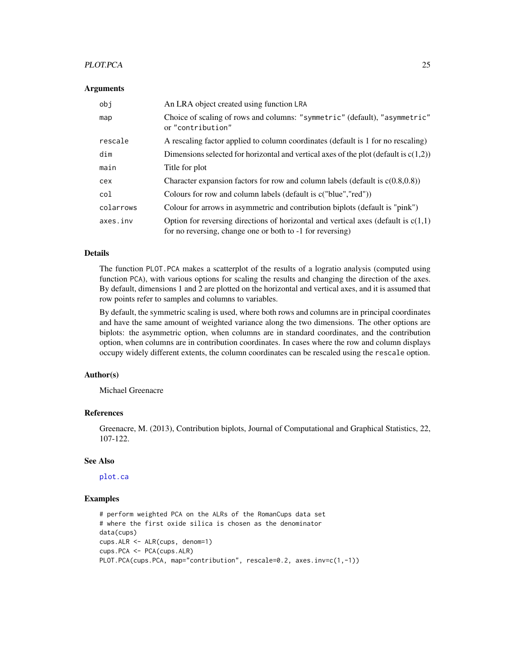#### <span id="page-24-0"></span>PLOT.PCA 25

#### Arguments

| obi       | An LRA object created using function LRA                                                                                                            |
|-----------|-----------------------------------------------------------------------------------------------------------------------------------------------------|
| map       | Choice of scaling of rows and columns: "symmetric" (default), "asymmetric"<br>or "contribution"                                                     |
| rescale   | A rescaling factor applied to column coordinates (default is 1 for no rescaling)                                                                    |
| dim       | Dimensions selected for horizontal and vertical axes of the plot (default is $c(1,2)$ )                                                             |
| main      | Title for plot                                                                                                                                      |
| cex       | Character expansion factors for row and column labels (default is $c(0.8,0.8)$ )                                                                    |
| col       | Colours for row and column labels (default is c("blue", "red"))                                                                                     |
| colarrows | Colour for arrows in asymmetric and contribution biplots (default is "pink")                                                                        |
| axes.inv  | Option for reversing directions of horizontal and vertical axes (default is $c(1,1)$ )<br>for no reversing, change one or both to -1 for reversing) |

#### Details

The function PLOT.PCA makes a scatterplot of the results of a logratio analysis (computed using function PCA), with various options for scaling the results and changing the direction of the axes. By default, dimensions 1 and 2 are plotted on the horizontal and vertical axes, and it is assumed that row points refer to samples and columns to variables.

By default, the symmetric scaling is used, where both rows and columns are in principal coordinates and have the same amount of weighted variance along the two dimensions. The other options are biplots: the asymmetric option, when columns are in standard coordinates, and the contribution option, when columns are in contribution coordinates. In cases where the row and column displays occupy widely different extents, the column coordinates can be rescaled using the rescale option.

#### Author(s)

Michael Greenacre

#### References

Greenacre, M. (2013), Contribution biplots, Journal of Computational and Graphical Statistics, 22, 107-122.

# See Also

[plot.ca](#page-0-0)

#### Examples

```
# perform weighted PCA on the ALRs of the RomanCups data set
# where the first oxide silica is chosen as the denominator
data(cups)
cups.ALR <- ALR(cups, denom=1)
cups.PCA <- PCA(cups.ALR)
PLOT.PCA(cups.PCA, map="contribution", rescale=0.2, axes.inv=c(1,-1))
```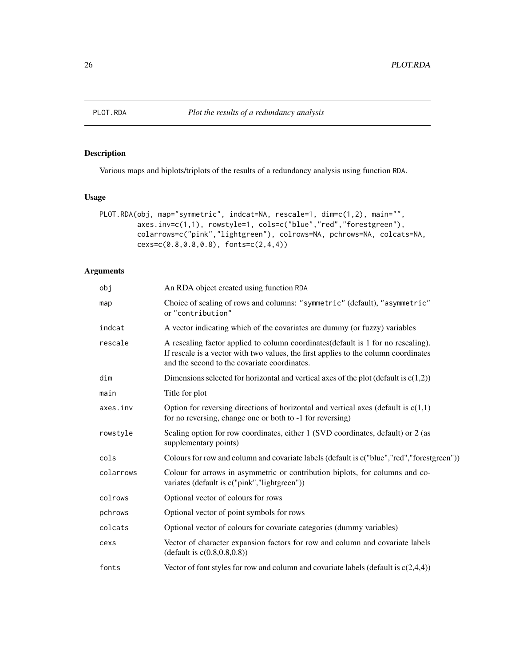<span id="page-25-1"></span><span id="page-25-0"></span>

Various maps and biplots/triplots of the results of a redundancy analysis using function RDA.

#### Usage

```
PLOT.RDA(obj, map="symmetric", indcat=NA, rescale=1, dim=c(1,2), main="",
         axes.inv=c(1,1), rowstyle=1, cols=c("blue","red","forestgreen"),
         colarrows=c("pink","lightgreen"), colrows=NA, pchrows=NA, colcats=NA,
        cexs=c(0.8,0.8,0.8), fonts=c(2,4,4))
```

| obj       | An RDA object created using function RDA                                                                                                                                                                                 |
|-----------|--------------------------------------------------------------------------------------------------------------------------------------------------------------------------------------------------------------------------|
| map       | Choice of scaling of rows and columns: "symmetric" (default), "asymmetric"<br>or "contribution"                                                                                                                          |
| indcat    | A vector indicating which of the covariates are dummy (or fuzzy) variables                                                                                                                                               |
| rescale   | A rescaling factor applied to column coordinates (default is 1 for no rescaling).<br>If rescale is a vector with two values, the first applies to the column coordinates<br>and the second to the covariate coordinates. |
| dim       | Dimensions selected for horizontal and vertical axes of the plot (default is $c(1,2)$ )                                                                                                                                  |
| main      | Title for plot                                                                                                                                                                                                           |
| axes.inv  | Option for reversing directions of horizontal and vertical axes (default is $c(1,1)$ )<br>for no reversing, change one or both to -1 for reversing)                                                                      |
| rowstyle  | Scaling option for row coordinates, either 1 (SVD coordinates, default) or 2 (as<br>supplementary points)                                                                                                                |
| cols      | Colours for row and column and covariate labels (default is c("blue", "red", "forestgreen"))                                                                                                                             |
| colarrows | Colour for arrows in asymmetric or contribution biplots, for columns and co-<br>variates (default is c("pink","lightgreen"))                                                                                             |
| colrows   | Optional vector of colours for rows                                                                                                                                                                                      |
| pchrows   | Optional vector of point symbols for rows                                                                                                                                                                                |
| colcats   | Optional vector of colours for covariate categories (dummy variables)                                                                                                                                                    |
| cexs      | Vector of character expansion factors for row and column and covariate labels<br>(default is $c(0.8, 0.8, 0.8)$ )                                                                                                        |
| fonts     | Vector of font styles for row and column and covariate labels (default is $c(2,4,4)$ )                                                                                                                                   |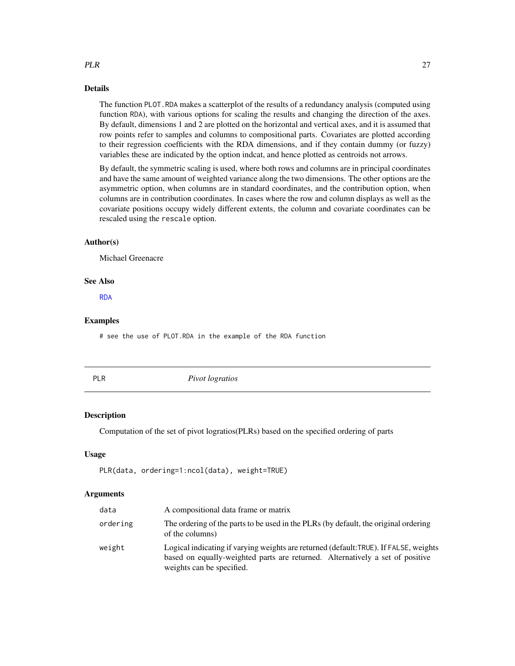#### Details

The function PLOT.RDA makes a scatterplot of the results of a redundancy analysis (computed using function RDA), with various options for scaling the results and changing the direction of the axes. By default, dimensions 1 and 2 are plotted on the horizontal and vertical axes, and it is assumed that row points refer to samples and columns to compositional parts. Covariates are plotted according to their regression coefficients with the RDA dimensions, and if they contain dummy (or fuzzy) variables these are indicated by the option indcat, and hence plotted as centroids not arrows.

By default, the symmetric scaling is used, where both rows and columns are in principal coordinates and have the same amount of weighted variance along the two dimensions. The other options are the asymmetric option, when columns are in standard coordinates, and the contribution option, when columns are in contribution coordinates. In cases where the row and column displays as well as the covariate positions occupy widely different extents, the column and covariate coordinates can be rescaled using the rescale option.

#### Author(s)

Michael Greenacre

#### See Also

[RDA](#page-27-1)

#### Examples

# see the use of PLOT.RDA in the example of the RDA function

<span id="page-26-1"></span>

|--|

**Pivot** logratios

#### Description

Computation of the set of pivot logratios(PLRs) based on the specified ordering of parts

#### Usage

PLR(data, ordering=1:ncol(data), weight=TRUE)

# **Arguments**

| data     | A compositional data frame or matrix                                                                                                                                                               |
|----------|----------------------------------------------------------------------------------------------------------------------------------------------------------------------------------------------------|
| ordering | The ordering of the parts to be used in the PLRs (by default, the original ordering<br>of the columns)                                                                                             |
| weight   | Logical indicating if varying weights are returned (default:TRUE). If FALSE, weights<br>based on equally-weighted parts are returned. Alternatively a set of positive<br>weights can be specified. |

<span id="page-26-0"></span> $PLR$  27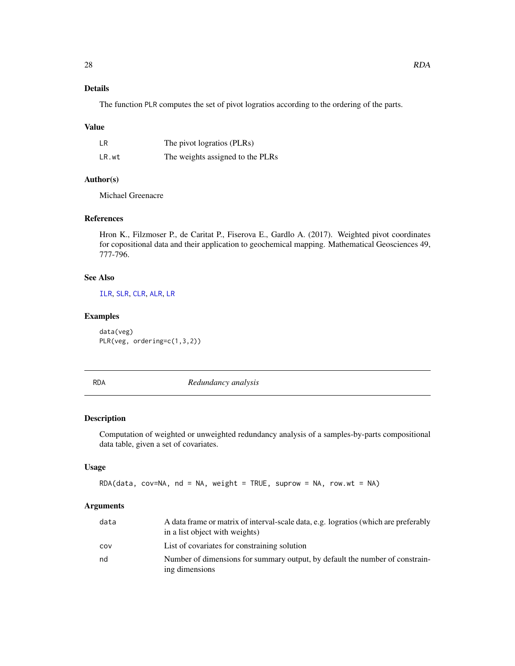<span id="page-27-0"></span>The function PLR computes the set of pivot logratios according to the ordering of the parts.

# Value

| LR.   | The pivot logratios (PLRs)       |
|-------|----------------------------------|
| LR.wt | The weights assigned to the PLRs |

# Author(s)

Michael Greenacre

# References

Hron K., Filzmoser P., de Caritat P., Fiserova E., Gardlo A. (2017). Weighted pivot coordinates for copositional data and their application to geochemical mapping. Mathematical Geosciences 49, 777-796.

#### See Also

[ILR](#page-11-1), [SLR](#page-29-1), [CLR](#page-7-1), [ALR](#page-3-1), [LR](#page-14-1)

# Examples

data(veg) PLR(veg, ordering=c(1,3,2))

<span id="page-27-1"></span>RDA *Redundancy analysis*

#### Description

Computation of weighted or unweighted redundancy analysis of a samples-by-parts compositional data table, given a set of covariates.

# Usage

RDA(data, cov=NA, nd = NA, weight = TRUE, suprow = NA, row.wt = NA)

| data | A data frame or matrix of interval-scale data, e.g. logratios (which are preferably<br>in a list object with weights) |
|------|-----------------------------------------------------------------------------------------------------------------------|
| cov  | List of covariates for constraining solution                                                                          |
| nd   | Number of dimensions for summary output, by default the number of constrain-<br>ing dimensions                        |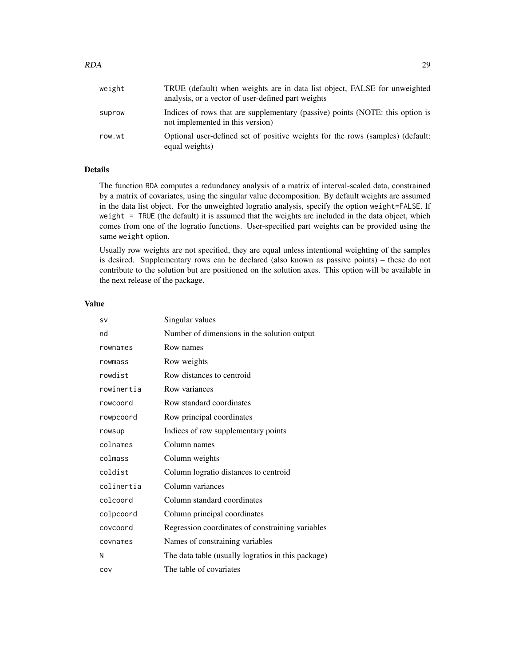| weight | TRUE (default) when weights are in data list object, FALSE for unweighted<br>analysis, or a vector of user-defined part weights |
|--------|---------------------------------------------------------------------------------------------------------------------------------|
| suprow | Indices of rows that are supplementary (passive) points (NOTE: this option is<br>not implemented in this version)               |
| row.wt | Optional user-defined set of positive weights for the rows (samples) (default:<br>equal weights)                                |

# Details

The function RDA computes a redundancy analysis of a matrix of interval-scaled data, constrained by a matrix of covariates, using the singular value decomposition. By default weights are assumed in the data list object. For the unweighted logratio analysis, specify the option weight=FALSE. If weight = TRUE (the default) it is assumed that the weights are included in the data object, which comes from one of the logratio functions. User-specified part weights can be provided using the same weight option.

Usually row weights are not specified, they are equal unless intentional weighting of the samples is desired. Supplementary rows can be declared (also known as passive points) – these do not contribute to the solution but are positioned on the solution axes. This option will be available in the next release of the package.

#### Value

| <b>SV</b>  | Singular values                                    |
|------------|----------------------------------------------------|
| nd         | Number of dimensions in the solution output        |
| rownames   | Row names                                          |
| rowmass    | Row weights                                        |
| rowdist    | Row distances to centroid                          |
| rowinertia | Row variances                                      |
| rowcoord   | Row standard coordinates                           |
| rowpcoord  | Row principal coordinates                          |
| rowsup     | Indices of row supplementary points                |
| colnames   | Column names                                       |
| colmass    | Column weights                                     |
| coldist    | Column logratio distances to centroid              |
| colinertia | Column variances                                   |
| colcoord   | Column standard coordinates                        |
| colpcoord  | Column principal coordinates                       |
| covcoord   | Regression coordinates of constraining variables   |
| covnames   | Names of constraining variables                    |
| N          | The data table (usually logratios in this package) |
| COV        | The table of covariates                            |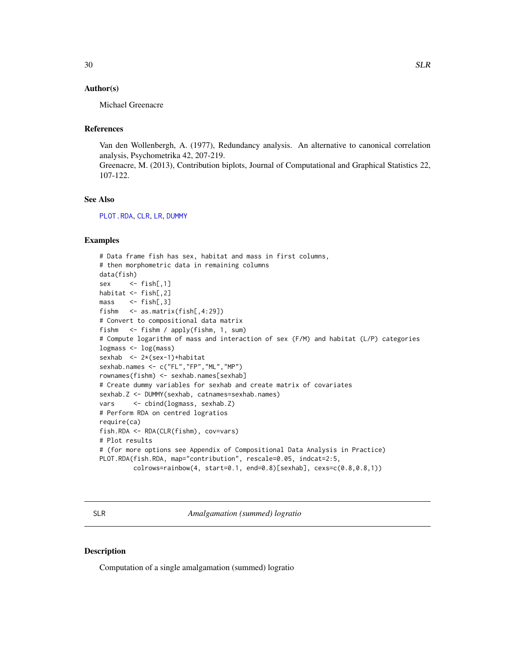#### <span id="page-29-0"></span>Author(s)

Michael Greenacre

# References

Van den Wollenbergh, A. (1977), Redundancy analysis. An alternative to canonical correlation analysis, Psychometrika 42, 207-219.

Greenacre, M. (2013), Contribution biplots, Journal of Computational and Graphical Statistics 22, 107-122.

#### See Also

[PLOT.RDA](#page-25-1), [CLR](#page-7-1), [LR](#page-14-1), [DUMMY](#page-10-1)

# Examples

```
# Data frame fish has sex, habitat and mass in first columns,
# then morphometric data in remaining columns
data(fish)
sex <- fish[,1]
habitat <- fish[,2]
mass \leq fish[,3]
fishm <- as.matrix(fish[,4:29])
# Convert to compositional data matrix
fishm <- fishm / apply(fishm, 1, sum)
# Compute logarithm of mass and interaction of sex (F/M) and habitat (L/P) categories
logmass <- log(mass)
sexhab <- 2*(sex-1)+habitat
sexhab.names <- c("FL","FP","ML","MP")
rownames(fishm) <- sexhab.names[sexhab]
# Create dummy variables for sexhab and create matrix of covariates
sexhab.Z <- DUMMY(sexhab, catnames=sexhab.names)
vars <- cbind(logmass, sexhab.Z)
# Perform RDA on centred logratios
require(ca)
fish.RDA <- RDA(CLR(fishm), cov=vars)
# Plot results
# (for more options see Appendix of Compositional Data Analysis in Practice)
PLOT.RDA(fish.RDA, map="contribution", rescale=0.05, indcat=2:5,
         colrows=rainbow(4, start=0.1, end=0.8)[sexhab], cexs=c(0.8,0.8,1))
```
<span id="page-29-1"></span>SLR *Amalgamation (summed) logratio*

# Description

Computation of a single amalgamation (summed) logratio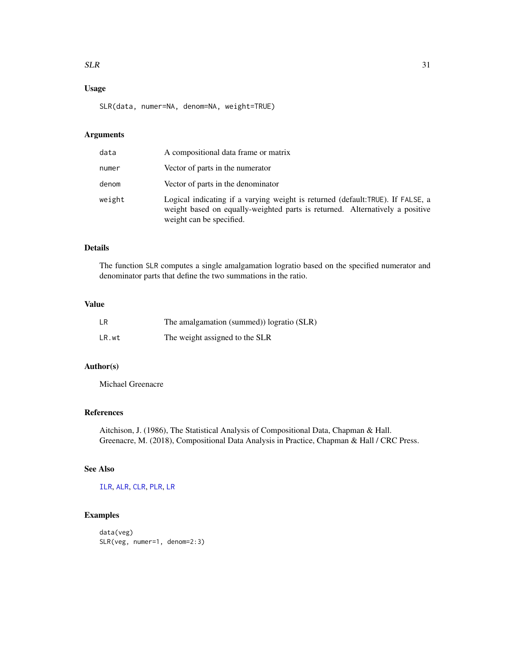#### <span id="page-30-0"></span> $SLR$  31

# Usage

SLR(data, numer=NA, denom=NA, weight=TRUE)

# Arguments

| data   | A compositional data frame or matrix                                                                                                                                                       |
|--------|--------------------------------------------------------------------------------------------------------------------------------------------------------------------------------------------|
| numer  | Vector of parts in the numerator                                                                                                                                                           |
| denom  | Vector of parts in the denominator                                                                                                                                                         |
| weight | Logical indicating if a varying weight is returned (default:TRUE). If FALSE, a<br>weight based on equally-weighted parts is returned. Alternatively a positive<br>weight can be specified. |

# Details

The function SLR computes a single amalgamation logratio based on the specified numerator and denominator parts that define the two summations in the ratio.

### Value

| LR.   | The amalgamation (summed)) logratio (SLR) |  |  |
|-------|-------------------------------------------|--|--|
| LR.wt | The weight assigned to the SLR            |  |  |

# Author(s)

Michael Greenacre

# References

Aitchison, J. (1986), The Statistical Analysis of Compositional Data, Chapman & Hall. Greenacre, M. (2018), Compositional Data Analysis in Practice, Chapman & Hall / CRC Press.

# See Also

[ILR](#page-11-1), [ALR](#page-3-1), [CLR](#page-7-1), [PLR](#page-26-1), [LR](#page-14-1)

# Examples

```
data(veg)
SLR(veg, numer=1, denom=2:3)
```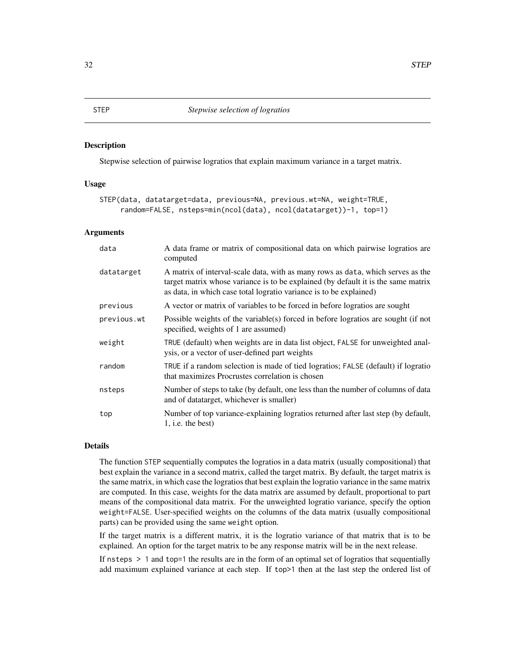<span id="page-31-0"></span>Stepwise selection of pairwise logratios that explain maximum variance in a target matrix.

#### Usage

```
STEP(data, datatarget=data, previous=NA, previous.wt=NA, weight=TRUE,
     random=FALSE, nsteps=min(ncol(data), ncol(datatarget))-1, top=1)
```
#### Arguments

| data        | A data frame or matrix of compositional data on which pairwise logratios are<br>computed                                                                                                                                                   |
|-------------|--------------------------------------------------------------------------------------------------------------------------------------------------------------------------------------------------------------------------------------------|
| datatarget  | A matrix of interval-scale data, with as many rows as data, which serves as the<br>target matrix whose variance is to be explained (by default it is the same matrix<br>as data, in which case total logratio variance is to be explained) |
| previous    | A vector or matrix of variables to be forced in before logratios are sought                                                                                                                                                                |
| previous.wt | Possible weights of the variable(s) forced in before logratios are sought (if not<br>specified, weights of 1 are assumed)                                                                                                                  |
| weight      | TRUE (default) when weights are in data list object, FALSE for unweighted anal-<br>ysis, or a vector of user-defined part weights                                                                                                          |
| random      | TRUE if a random selection is made of tied logratios; FALSE (default) if logratio<br>that maximizes Procrustes correlation is chosen                                                                                                       |
| nsteps      | Number of steps to take (by default, one less than the number of columns of data<br>and of datatarget, whichever is smaller)                                                                                                               |
| top         | Number of top variance-explaining logratios returned after last step (by default,<br>$1$ , i.e. the best)                                                                                                                                  |

#### Details

The function STEP sequentially computes the logratios in a data matrix (usually compositional) that best explain the variance in a second matrix, called the target matrix. By default, the target matrix is the same matrix, in which case the logratios that best explain the logratio variance in the same matrix are computed. In this case, weights for the data matrix are assumed by default, proportional to part means of the compositional data matrix. For the unweighted logratio variance, specify the option weight=FALSE. User-specified weights on the columns of the data matrix (usually compositional parts) can be provided using the same weight option.

If the target matrix is a different matrix, it is the logratio variance of that matrix that is to be explained. An option for the target matrix to be any response matrix will be in the next release.

If nsteps > 1 and top=1 the results are in the form of an optimal set of logratios that sequentially add maximum explained variance at each step. If top>1 then at the last step the ordered list of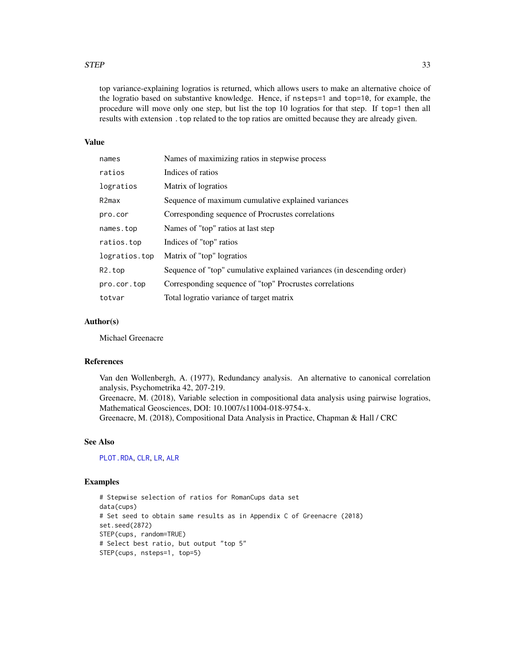#### <span id="page-32-0"></span> $STEP$  33

top variance-explaining logratios is returned, which allows users to make an alternative choice of the logratio based on substantive knowledge. Hence, if nsteps=1 and top=10, for example, the procedure will move only one step, but list the top 10 logratios for that step. If top=1 then all results with extension .top related to the top ratios are omitted because they are already given.

#### Value

| names         | Names of maximizing ratios in stepwise process                         |
|---------------|------------------------------------------------------------------------|
| ratios        | Indices of ratios                                                      |
| logratios     | Matrix of logratios                                                    |
| R2max         | Sequence of maximum cumulative explained variances                     |
| pro.cor       | Corresponding sequence of Procrustes correlations                      |
| names.top     | Names of "top" ratios at last step                                     |
| ratios.top    | Indices of "top" ratios                                                |
| logratios.top | Matrix of "top" logratios                                              |
| R2.top        | Sequence of "top" cumulative explained variances (in descending order) |
| pro.cor.top   | Corresponding sequence of "top" Procrustes correlations                |
| totvar        | Total logratio variance of target matrix                               |

#### Author(s)

Michael Greenacre

#### References

Van den Wollenbergh, A. (1977), Redundancy analysis. An alternative to canonical correlation analysis, Psychometrika 42, 207-219. Greenacre, M. (2018), Variable selection in compositional data analysis using pairwise logratios, Mathematical Geosciences, DOI: 10.1007/s11004-018-9754-x. Greenacre, M. (2018), Compositional Data Analysis in Practice, Chapman & Hall / CRC

# See Also

[PLOT.RDA](#page-25-1), [CLR](#page-7-1), [LR](#page-14-1), [ALR](#page-3-1)

#### Examples

```
# Stepwise selection of ratios for RomanCups data set
data(cups)
# Set seed to obtain same results as in Appendix C of Greenacre (2018)
set.seed(2872)
STEP(cups, random=TRUE)
# Select best ratio, but output "top 5"
STEP(cups, nsteps=1, top=5)
```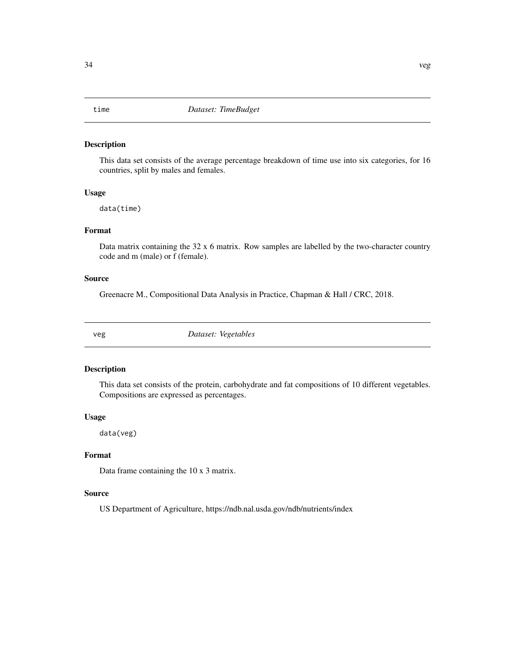<span id="page-33-0"></span>This data set consists of the average percentage breakdown of time use into six categories, for 16 countries, split by males and females.

#### Usage

data(time)

# Format

Data matrix containing the 32 x 6 matrix. Row samples are labelled by the two-character country code and m (male) or f (female).

### Source

Greenacre M., Compositional Data Analysis in Practice, Chapman & Hall / CRC, 2018.

veg *Dataset: Vegetables*

# Description

This data set consists of the protein, carbohydrate and fat compositions of 10 different vegetables. Compositions are expressed as percentages.

#### Usage

data(veg)

#### Format

Data frame containing the 10 x 3 matrix.

#### Source

US Department of Agriculture, https://ndb.nal.usda.gov/ndb/nutrients/index